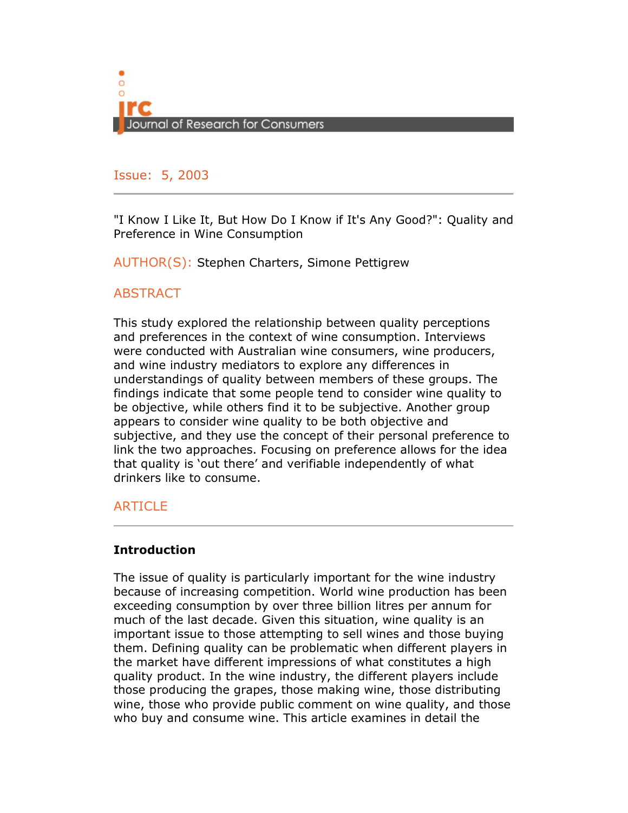

### Issue: 5, 2005 Issue: 5, 2003

"I Know I Like It, But How Do I Know if It's Any Good?": Quality and Preference in Wine Consumption

AUTHOR(S): Stephen Charters, Simone Pettigrew

## **ABSTRACT**

This study explored the relationship between quality perceptions and preferences in the context of wine consumption. Interviews were conducted with Australian wine consumers, wine producers, and wine industry mediators to explore any differences in understandings of quality between members of these groups. The findings indicate that some people tend to consider wine quality to be objective, while others find it to be subjective. Another group appears to consider wine quality to be both objective and subjective, and they use the concept of their personal preference to link the two approaches. Focusing on preference allows for the idea that quality is 'out there' and verifiable independently of what drinkers like to consume.

# ARTICLE

## **Introduction**

The issue of quality is particularly important for the wine industry because of increasing competition. World wine production has been exceeding consumption by over three billion litres per annum for much of the last decade. Given this situation, wine quality is an important issue to those attempting to sell wines and those buying them. Defining quality can be problematic when different players in the market have different impressions of what constitutes a high quality product. In the wine industry, the different players include those producing the grapes, those making wine, those distributing wine, those who provide public comment on wine quality, and those who buy and consume wine. This article examines in detail the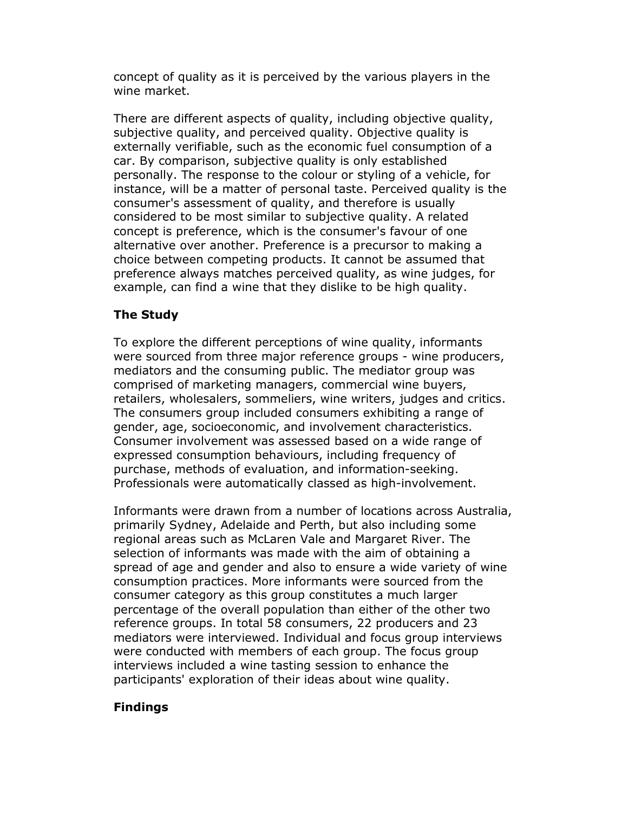concept of quality as it is perceived by the various players in the wine market.

There are different aspects of quality, including objective quality, subjective quality, and perceived quality. Objective quality is externally verifiable, such as the economic fuel consumption of a car. By comparison, subjective quality is only established personally. The response to the colour or styling of a vehicle, for instance, will be a matter of personal taste. Perceived quality is the consumer's assessment of quality, and therefore is usually considered to be most similar to subjective quality. A related concept is preference, which is the consumer's favour of one alternative over another. Preference is a precursor to making a choice between competing products. It cannot be assumed that preference always matches perceived quality, as wine judges, for example, can find a wine that they dislike to be high quality.

# The Study

To explore the different perceptions of wine quality, informants were sourced from three major reference groups - wine producers, mediators and the consuming public. The mediator group was comprised of marketing managers, commercial wine buyers, retailers, wholesalers, sommeliers, wine writers, judges and critics. The consumers group included consumers exhibiting a range of gender, age, socioeconomic, and involvement characteristics. Consumer involvement was assessed based on a wide range of expressed consumption behaviours, including frequency of purchase, methods of evaluation, and information-seeking. Professionals were automatically classed as high-involvement.

Informants were drawn from a number of locations across Australia, primarily Sydney, Adelaide and Perth, but also including some regional areas such as McLaren Vale and Margaret River. The selection of informants was made with the aim of obtaining a spread of age and gender and also to ensure a wide variety of wine consumption practices. More informants were sourced from the consumer category as this group constitutes a much larger percentage of the overall population than either of the other two reference groups. In total 58 consumers, 22 producers and 23 mediators were interviewed. Individual and focus group interviews were conducted with members of each group. The focus group interviews included a wine tasting session to enhance the participants' exploration of their ideas about wine quality.

# Findings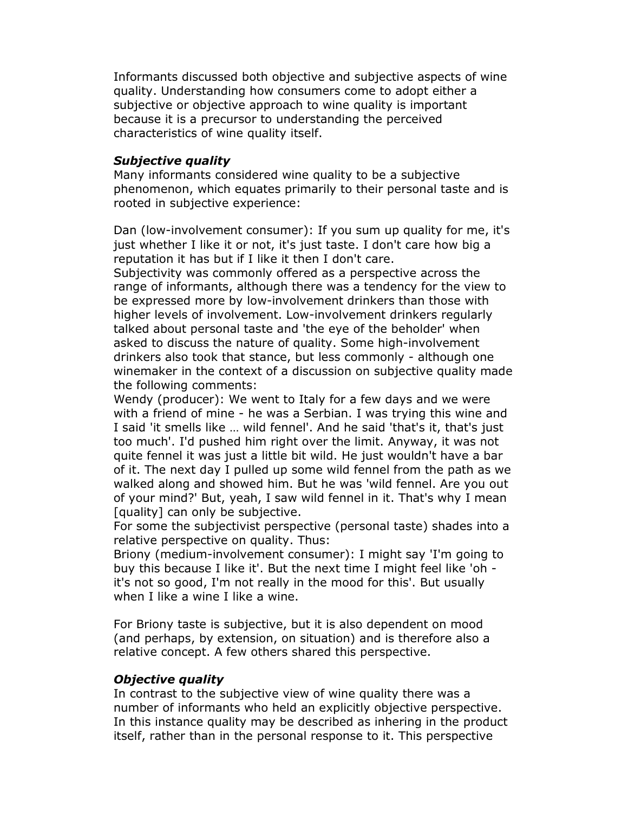Informants discussed both objective and subjective aspects of wine quality. Understanding how consumers come to adopt either a subjective or objective approach to wine quality is important because it is a precursor to understanding the perceived characteristics of wine quality itself.

### Subjective quality

Many informants considered wine quality to be a subjective phenomenon, which equates primarily to their personal taste and is rooted in subjective experience:

Dan (low-involvement consumer): If you sum up quality for me, it's just whether I like it or not, it's just taste. I don't care how big a reputation it has but if I like it then I don't care.

Subjectivity was commonly offered as a perspective across the range of informants, although there was a tendency for the view to be expressed more by low-involvement drinkers than those with higher levels of involvement. Low-involvement drinkers regularly talked about personal taste and 'the eye of the beholder' when asked to discuss the nature of quality. Some high-involvement drinkers also took that stance, but less commonly - although one winemaker in the context of a discussion on subjective quality made the following comments:

Wendy (producer): We went to Italy for a few days and we were with a friend of mine - he was a Serbian. I was trying this wine and I said 'it smells like … wild fennel'. And he said 'that's it, that's just too much'. I'd pushed him right over the limit. Anyway, it was not quite fennel it was just a little bit wild. He just wouldn't have a bar of it. The next day I pulled up some wild fennel from the path as we walked along and showed him. But he was 'wild fennel. Are you out of your mind?' But, yeah, I saw wild fennel in it. That's why I mean [quality] can only be subjective.

For some the subjectivist perspective (personal taste) shades into a relative perspective on quality. Thus:

Briony (medium-involvement consumer): I might say 'I'm going to buy this because I like it'. But the next time I might feel like 'oh it's not so good, I'm not really in the mood for this'. But usually when I like a wine I like a wine.

For Briony taste is subjective, but it is also dependent on mood (and perhaps, by extension, on situation) and is therefore also a relative concept. A few others shared this perspective.

### Objective quality

In contrast to the subjective view of wine quality there was a number of informants who held an explicitly objective perspective. In this instance quality may be described as inhering in the product itself, rather than in the personal response to it. This perspective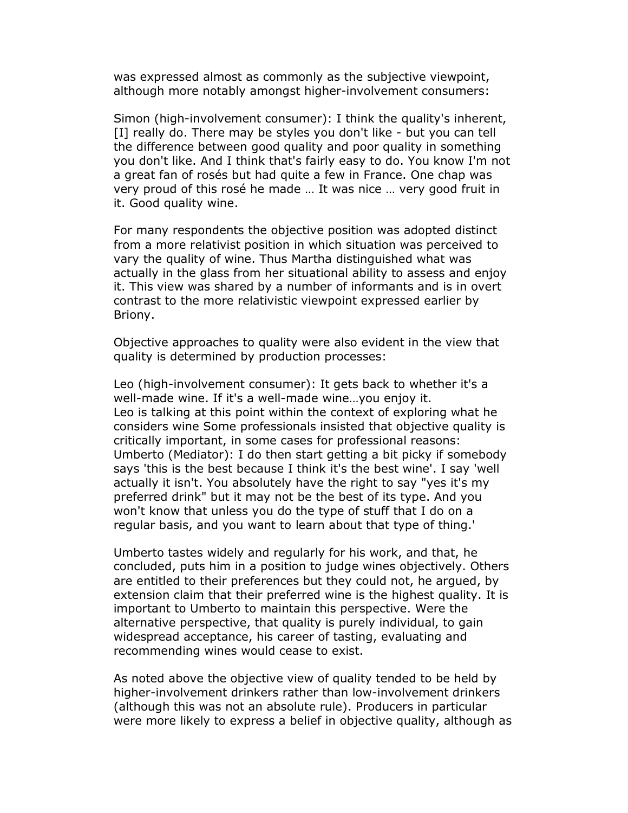was expressed almost as commonly as the subjective viewpoint, although more notably amongst higher-involvement consumers:

Simon (high-involvement consumer): I think the quality's inherent, [I] really do. There may be styles you don't like - but you can tell the difference between good quality and poor quality in something you don't like. And I think that's fairly easy to do. You know I'm not a great fan of rosés but had quite a few in France. One chap was very proud of this rosé he made … It was nice … very good fruit in it. Good quality wine.

For many respondents the objective position was adopted distinct from a more relativist position in which situation was perceived to vary the quality of wine. Thus Martha distinguished what was actually in the glass from her situational ability to assess and enjoy it. This view was shared by a number of informants and is in overt contrast to the more relativistic viewpoint expressed earlier by Briony.

Objective approaches to quality were also evident in the view that quality is determined by production processes:

Leo (high-involvement consumer): It gets back to whether it's a well-made wine. If it's a well-made wine…you enjoy it. Leo is talking at this point within the context of exploring what he considers wine Some professionals insisted that objective quality is critically important, in some cases for professional reasons: Umberto (Mediator): I do then start getting a bit picky if somebody says 'this is the best because I think it's the best wine'. I say 'well actually it isn't. You absolutely have the right to say "yes it's my preferred drink" but it may not be the best of its type. And you won't know that unless you do the type of stuff that I do on a regular basis, and you want to learn about that type of thing.'

Umberto tastes widely and regularly for his work, and that, he concluded, puts him in a position to judge wines objectively. Others are entitled to their preferences but they could not, he argued, by extension claim that their preferred wine is the highest quality. It is important to Umberto to maintain this perspective. Were the alternative perspective, that quality is purely individual, to gain widespread acceptance, his career of tasting, evaluating and recommending wines would cease to exist.

As noted above the objective view of quality tended to be held by higher-involvement drinkers rather than low-involvement drinkers (although this was not an absolute rule). Producers in particular were more likely to express a belief in objective quality, although as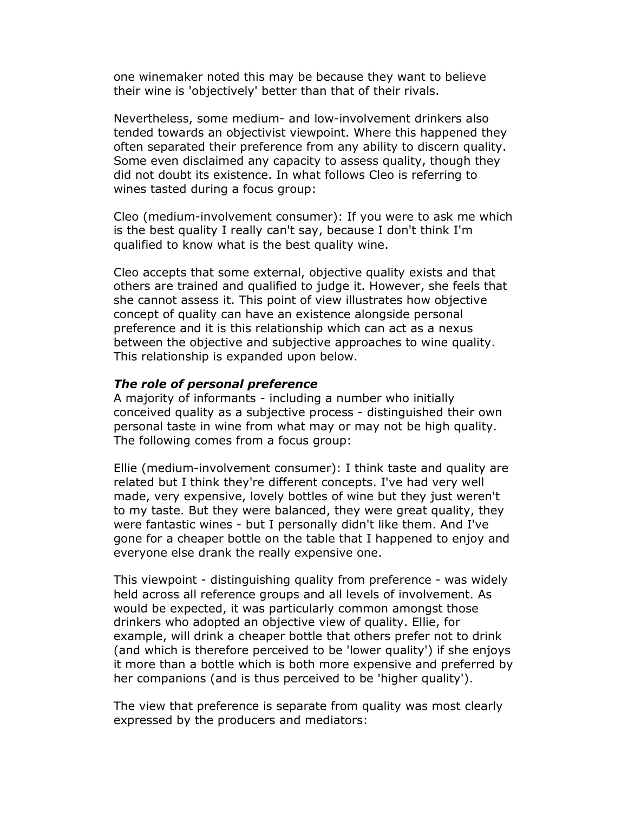one winemaker noted this may be because they want to believe their wine is 'objectively' better than that of their rivals.

Nevertheless, some medium- and low-involvement drinkers also tended towards an objectivist viewpoint. Where this happened they often separated their preference from any ability to discern quality. Some even disclaimed any capacity to assess quality, though they did not doubt its existence. In what follows Cleo is referring to wines tasted during a focus group:

Cleo (medium-involvement consumer): If you were to ask me which is the best quality I really can't say, because I don't think I'm qualified to know what is the best quality wine.

Cleo accepts that some external, objective quality exists and that others are trained and qualified to judge it. However, she feels that she cannot assess it. This point of view illustrates how objective concept of quality can have an existence alongside personal preference and it is this relationship which can act as a nexus between the objective and subjective approaches to wine quality. This relationship is expanded upon below.

#### The role of personal preference

A majority of informants - including a number who initially conceived quality as a subjective process - distinguished their own personal taste in wine from what may or may not be high quality. The following comes from a focus group:

Ellie (medium-involvement consumer): I think taste and quality are related but I think they're different concepts. I've had very well made, very expensive, lovely bottles of wine but they just weren't to my taste. But they were balanced, they were great quality, they were fantastic wines - but I personally didn't like them. And I've gone for a cheaper bottle on the table that I happened to enjoy and everyone else drank the really expensive one.

This viewpoint - distinguishing quality from preference - was widely held across all reference groups and all levels of involvement. As would be expected, it was particularly common amongst those drinkers who adopted an objective view of quality. Ellie, for example, will drink a cheaper bottle that others prefer not to drink (and which is therefore perceived to be 'lower quality') if she enjoys it more than a bottle which is both more expensive and preferred by her companions (and is thus perceived to be 'higher quality').

The view that preference is separate from quality was most clearly expressed by the producers and mediators: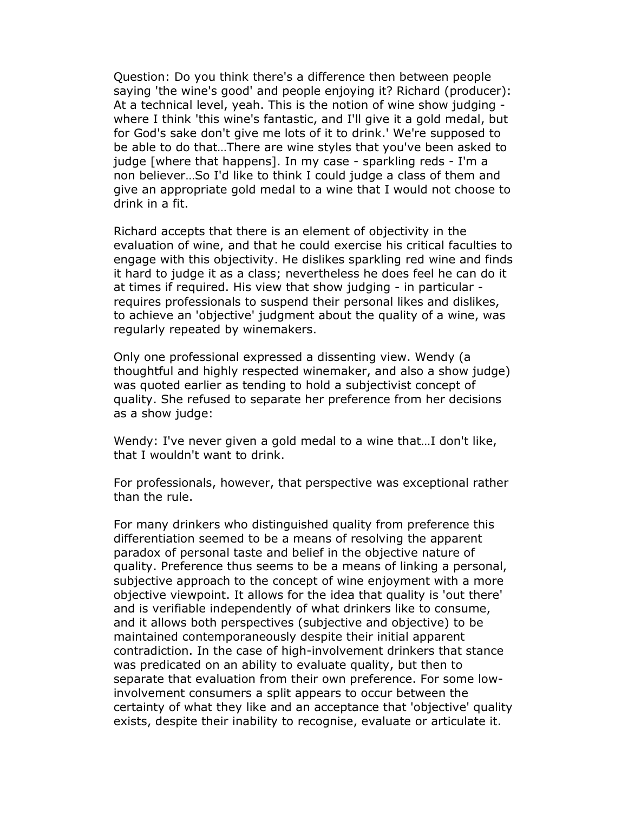Question: Do you think there's a difference then between people saying 'the wine's good' and people enjoying it? Richard (producer): At a technical level, yeah. This is the notion of wine show judging where I think 'this wine's fantastic, and I'll give it a gold medal, but for God's sake don't give me lots of it to drink.' We're supposed to be able to do that…There are wine styles that you've been asked to judge [where that happens]. In my case - sparkling reds - I'm a non believer…So I'd like to think I could judge a class of them and give an appropriate gold medal to a wine that I would not choose to drink in a fit.

Richard accepts that there is an element of objectivity in the evaluation of wine, and that he could exercise his critical faculties to engage with this objectivity. He dislikes sparkling red wine and finds it hard to judge it as a class; nevertheless he does feel he can do it at times if required. His view that show judging - in particular requires professionals to suspend their personal likes and dislikes, to achieve an 'objective' judgment about the quality of a wine, was regularly repeated by winemakers.

Only one professional expressed a dissenting view. Wendy (a thoughtful and highly respected winemaker, and also a show judge) was quoted earlier as tending to hold a subjectivist concept of quality. She refused to separate her preference from her decisions as a show judge:

Wendy: I've never given a gold medal to a wine that…I don't like, that I wouldn't want to drink.

For professionals, however, that perspective was exceptional rather than the rule.

For many drinkers who distinguished quality from preference this differentiation seemed to be a means of resolving the apparent paradox of personal taste and belief in the objective nature of quality. Preference thus seems to be a means of linking a personal, subjective approach to the concept of wine enjoyment with a more objective viewpoint. It allows for the idea that quality is 'out there' and is verifiable independently of what drinkers like to consume, and it allows both perspectives (subjective and objective) to be maintained contemporaneously despite their initial apparent contradiction. In the case of high-involvement drinkers that stance was predicated on an ability to evaluate quality, but then to separate that evaluation from their own preference. For some lowinvolvement consumers a split appears to occur between the certainty of what they like and an acceptance that 'objective' quality exists, despite their inability to recognise, evaluate or articulate it.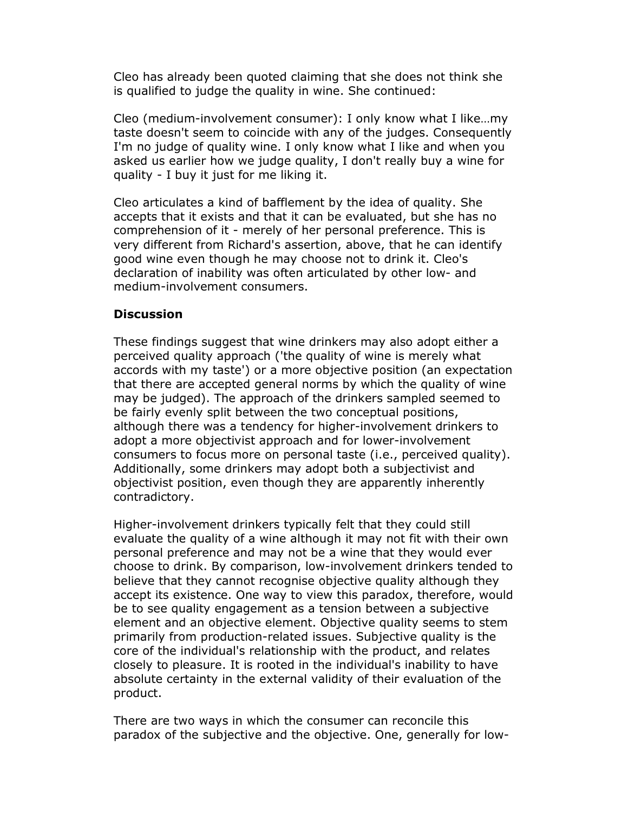Cleo has already been quoted claiming that she does not think she is qualified to judge the quality in wine. She continued:

Cleo (medium-involvement consumer): I only know what I like…my taste doesn't seem to coincide with any of the judges. Consequently I'm no judge of quality wine. I only know what I like and when you asked us earlier how we judge quality, I don't really buy a wine for quality - I buy it just for me liking it.

Cleo articulates a kind of bafflement by the idea of quality. She accepts that it exists and that it can be evaluated, but she has no comprehension of it - merely of her personal preference. This is very different from Richard's assertion, above, that he can identify good wine even though he may choose not to drink it. Cleo's declaration of inability was often articulated by other low- and medium-involvement consumers.

### **Discussion**

These findings suggest that wine drinkers may also adopt either a perceived quality approach ('the quality of wine is merely what accords with my taste') or a more objective position (an expectation that there are accepted general norms by which the quality of wine may be judged). The approach of the drinkers sampled seemed to be fairly evenly split between the two conceptual positions, although there was a tendency for higher-involvement drinkers to adopt a more objectivist approach and for lower-involvement consumers to focus more on personal taste (i.e., perceived quality). Additionally, some drinkers may adopt both a subjectivist and objectivist position, even though they are apparently inherently contradictory.

Higher-involvement drinkers typically felt that they could still evaluate the quality of a wine although it may not fit with their own personal preference and may not be a wine that they would ever choose to drink. By comparison, low-involvement drinkers tended to believe that they cannot recognise objective quality although they accept its existence. One way to view this paradox, therefore, would be to see quality engagement as a tension between a subjective element and an objective element. Objective quality seems to stem primarily from production-related issues. Subjective quality is the core of the individual's relationship with the product, and relates closely to pleasure. It is rooted in the individual's inability to have absolute certainty in the external validity of their evaluation of the product.

There are two ways in which the consumer can reconcile this paradox of the subjective and the objective. One, generally for low